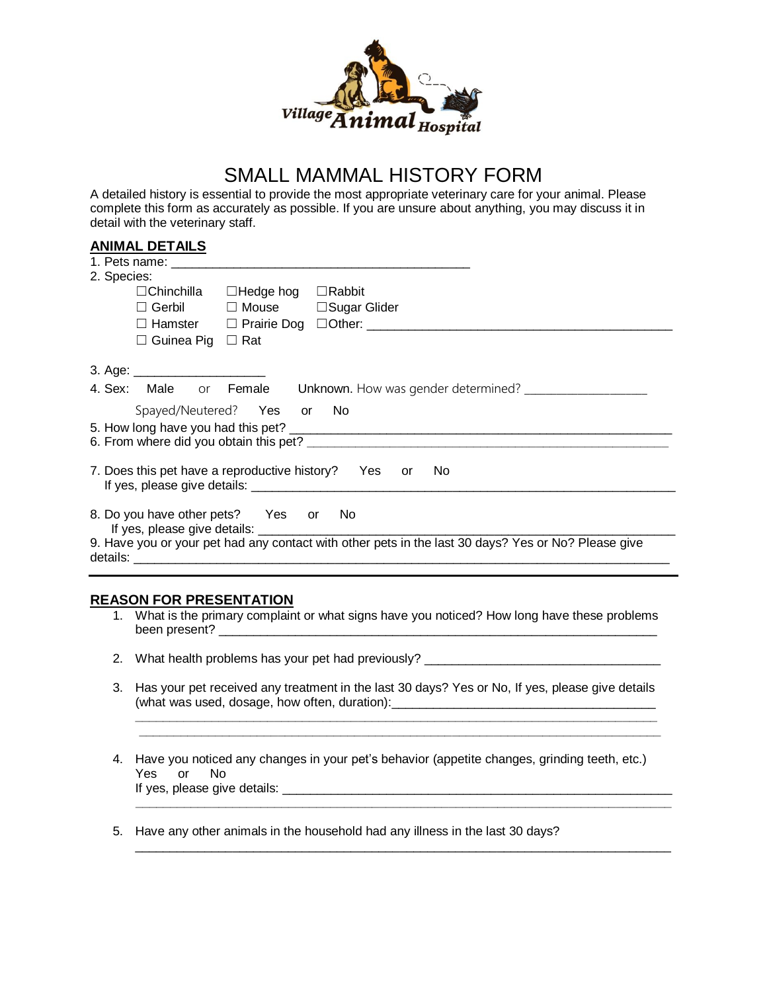

## SMALL MAMMAL HISTORY FORM

A detailed history is essential to provide the most appropriate veterinary care for your animal. Please complete this form as accurately as possible. If you are unsure about anything, you may discuss it in detail with the veterinary staff.

## **ANIMAL DETAILS**

|                                                                                                     | 1. Pets name: the contract of the contract of the contract of the contract of the contract of the contract of the contract of the contract of the contract of the contract of the contract of the contract of the contract of |
|-----------------------------------------------------------------------------------------------------|-------------------------------------------------------------------------------------------------------------------------------------------------------------------------------------------------------------------------------|
| 2. Species:                                                                                         |                                                                                                                                                                                                                               |
|                                                                                                     | $\Box$ Chinchilla $\Box$ Hedge hog $\Box$ Rabbit                                                                                                                                                                              |
| $\Box$ Gerbil                                                                                       | □ Mouse □ Sugar Glider                                                                                                                                                                                                        |
|                                                                                                     |                                                                                                                                                                                                                               |
| $\Box$ Guinea Pig $\Box$ Rat                                                                        |                                                                                                                                                                                                                               |
| 3. Age: $\frac{1}{2}$                                                                               |                                                                                                                                                                                                                               |
|                                                                                                     | 4. Sex: Male or Female Unknown. How was gender determined? _____________________                                                                                                                                              |
|                                                                                                     | Spayed/Neutered? Yes or No                                                                                                                                                                                                    |
|                                                                                                     |                                                                                                                                                                                                                               |
|                                                                                                     |                                                                                                                                                                                                                               |
|                                                                                                     |                                                                                                                                                                                                                               |
|                                                                                                     | 7. Does this pet have a reproductive history? Yes or<br><b>No</b>                                                                                                                                                             |
|                                                                                                     |                                                                                                                                                                                                                               |
| 8. Do you have other pets? Yes or                                                                   | - No                                                                                                                                                                                                                          |
| 9. Have you or your pet had any contact with other pets in the last 30 days? Yes or No? Please give |                                                                                                                                                                                                                               |
|                                                                                                     |                                                                                                                                                                                                                               |
|                                                                                                     |                                                                                                                                                                                                                               |

## **REASON FOR PRESENTATION**

- 1. What is the primary complaint or what signs have you noticed? How long have these problems been present? \_\_\_\_\_\_\_\_\_\_\_\_\_\_\_\_\_\_\_\_\_\_\_\_\_\_\_\_\_\_\_\_\_\_\_\_\_\_\_\_\_\_\_\_\_\_\_\_\_\_\_\_\_\_\_\_\_\_\_\_\_\_\_
- 2. What health problems has your pet had previously? \_\_\_\_\_\_\_\_\_\_\_\_\_\_\_\_\_\_\_\_\_\_\_\_\_\_\_\_
- 3. Has your pet received any treatment in the last 30 days? Yes or No, If yes, please give details (what was used, dosage, how often, duration): \_\_\_\_\_\_\_\_\_\_\_\_\_\_\_\_\_\_\_\_\_\_\_\_\_\_\_\_\_\_\_\_\_\_

**\_\_\_\_\_\_\_\_\_\_\_\_\_\_\_\_\_\_\_\_\_\_\_\_\_\_\_\_\_\_\_\_\_\_\_\_\_\_\_\_\_\_\_\_\_\_\_\_\_\_\_\_\_\_\_\_\_\_\_\_\_\_\_\_\_\_\_\_\_\_\_\_\_\_\_**

4. Have you noticed any changes in your pet's behavior (appetite changes, grinding teeth, etc.) Yes or No If yes, please give details: \_\_\_\_\_\_\_\_\_\_\_\_\_\_\_\_\_\_\_\_\_\_\_\_\_\_\_\_\_\_\_\_\_\_\_\_\_\_\_\_\_\_\_\_\_\_\_\_\_\_\_\_\_\_\_\_

 **\_\_\_\_\_\_\_\_\_\_\_\_\_\_\_\_\_\_\_\_\_\_\_\_\_\_\_\_\_\_\_\_\_\_\_\_\_\_\_\_\_\_\_\_\_\_\_\_\_\_\_\_\_\_\_\_\_\_\_\_\_\_\_\_\_\_\_\_\_\_\_\_\_\_\_\_\_**

\_\_\_\_\_\_\_\_\_\_\_\_\_\_\_\_\_\_\_\_\_\_\_\_\_\_\_\_\_\_\_\_\_\_\_\_\_\_\_\_\_\_\_\_\_\_\_\_\_\_\_\_\_\_\_\_\_\_\_\_\_\_\_\_\_\_\_\_\_\_\_\_\_\_\_\_\_

 **\_\_\_\_\_\_\_\_\_\_\_\_\_\_\_\_\_\_\_\_\_\_\_\_\_\_\_\_\_\_\_\_\_\_\_\_\_\_\_\_\_\_\_\_\_\_\_\_\_\_\_\_\_\_\_\_\_\_\_\_\_\_\_\_\_\_\_\_\_\_\_\_\_\_\_**

5. Have any other animals in the household had any illness in the last 30 days?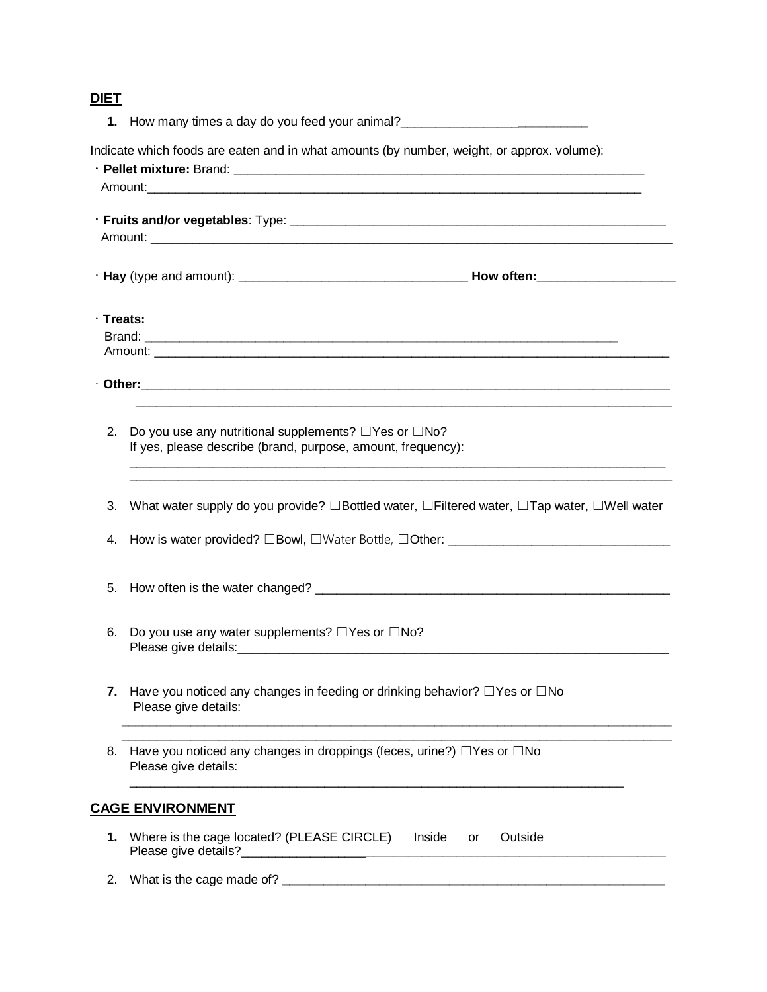## **DIET**

|                 | 1. How many times a day do you feed your animal?________________________________                                                 |
|-----------------|----------------------------------------------------------------------------------------------------------------------------------|
|                 | Indicate which foods are eaten and in what amounts (by number, weight, or approx. volume):                                       |
|                 | Amount:                                                                                                                          |
|                 |                                                                                                                                  |
| $\cdot$ Treats: |                                                                                                                                  |
|                 |                                                                                                                                  |
| 2.              | Do you use any nutritional supplements? $\Box$ Yes or $\Box$ No?<br>If yes, please describe (brand, purpose, amount, frequency): |
| 3.              | What water supply do you provide? □Bottled water, □Filtered water, □Tap water, □Well water                                       |
| 4.              | How is water provided? □Bowl, □Water Bottle, □Other: ___________________________                                                 |
| 5.              |                                                                                                                                  |
| 6.              | Do you use any water supplements? □Yes or □No?                                                                                   |
| 7.              | Have you noticed any changes in feeding or drinking behavior? $\Box$ Yes or $\Box$ No<br>Please give details:                    |
| 8.              | Have you noticed any changes in droppings (feces, urine?) $\Box$ Yes or $\Box$ No<br>Please give details:                        |
|                 | <b>CAGE ENVIRONMENT</b>                                                                                                          |
| 1.              | Where is the cage located? (PLEASE CIRCLE)<br>Inside<br>Outside<br>or                                                            |
| 2.              |                                                                                                                                  |